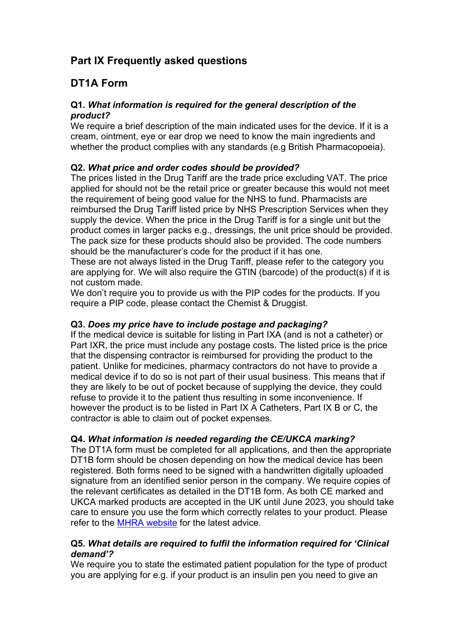# **Part IX Frequently asked questions**

# **DT1A Form**

#### **Q1***. What information is required for the general description of the product?*

We require a brief description of the main indicated uses for the device. If it is a cream, ointment, eye or ear drop we need to know the main ingredients and whether the product complies with any standards (e.g British Pharmacopoeia).

### **Q2.** *What price and order codes should be provided?*

The prices listed in the Drug Tariff are the trade price excluding VAT. The price applied for should not be the retail price or greater because this would not meet the requirement of being good value for the NHS to fund. Pharmacists are reimbursed the Drug Tariff listed price by NHS Prescription Services when they supply the device. When the price in the Drug Tariff is for a single unit but the product comes in larger packs e.g., dressings, the unit price should be provided. The pack size for these products should also be provided. The code numbers should be the manufacturer's code for the product if it has one.

These are not always listed in the Drug Tariff, please refer to the category you are applying for. We will also require the GTIN (barcode) of the product(s) if it is not custom made.

We don't require you to provide us with the PIP codes for the products. If you require a PIP code, please contact the Chemist & Druggist.

#### **Q3.** *Does my price have to include postage and packaging?*

If the medical device is suitable for listing in Part IXA (and is not a catheter) or Part IXR, the price must include any postage costs. The listed price is the price that the dispensing contractor is reimbursed for providing the product to the patient. Unlike for medicines, pharmacy contractors do not have to provide a medical device if to do so is not part of their usual business. This means that if they are likely to be out of pocket because of supplying the device, they could refuse to provide it to the patient thus resulting in some inconvenience. If however the product is to be listed in Part IX A Catheters, Part IX B or C, the contractor is able to claim out of pocket expenses.

#### **Q4.** *What information is needed regarding the CE/UKCA marking?*

The DT1A form must be completed for all applications, and then the appropriate DT1B form should be chosen depending on how the medical device has been registered. Both forms need to be signed with a handwritten digitally uploaded signature from an identified senior person in the company. We require copies of the relevant certificates as detailed in the DT1B form. As both CE marked and UKCA marked products are accepted in the UK until June 2023, you should take care to ensure you use the form which correctly relates to your product. Please refer to the [MHRA website](https://www.gov.uk/topic/medicines-medical-devices-blood/medical-devices-regulation-safety) for the latest advice.

#### **Q5.** *What details are required to fulfil the information required for 'Clinical demand'?*

We require you to state the estimated patient population for the type of product you are applying for e.g. if your product is an insulin pen you need to give an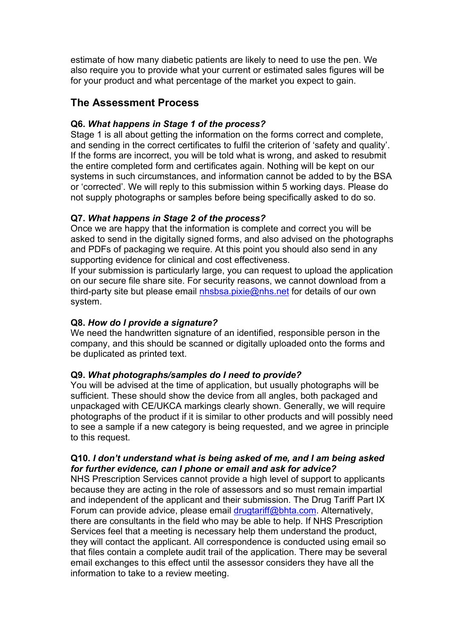estimate of how many diabetic patients are likely to need to use the pen. We also require you to provide what your current or estimated sales figures will be for your product and what percentage of the market you expect to gain.

## **The Assessment Process**

### **Q6.** *What happens in Stage 1 of the process?*

Stage 1 is all about getting the information on the forms correct and complete, and sending in the correct certificates to fulfil the criterion of 'safety and quality'. If the forms are incorrect, you will be told what is wrong, and asked to resubmit the entire completed form and certificates again. Nothing will be kept on our systems in such circumstances, and information cannot be added to by the BSA or 'corrected'. We will reply to this submission within 5 working days. Please do not supply photographs or samples before being specifically asked to do so.

#### **Q7.** *What happens in Stage 2 of the process?*

Once we are happy that the information is complete and correct you will be asked to send in the digitally signed forms, and also advised on the photographs and PDFs of packaging we require. At this point you should also send in any supporting evidence for clinical and cost effectiveness.

If your submission is particularly large, you can request to upload the application on our secure file share site. For security reasons, we cannot download from a third-party site but please email [nhsbsa.pixie@nhs.net](mailto:nhsbsa.pixie@nhs.net) for details of our own system.

#### **Q8.** *How do I provide a signature?*

We need the handwritten signature of an identified, responsible person in the company, and this should be scanned or digitally uploaded onto the forms and be duplicated as printed text.

#### **Q9.** *What photographs/samples do I need to provide?*

You will be advised at the time of application, but usually photographs will be sufficient. These should show the device from all angles, both packaged and unpackaged with CE/UKCA markings clearly shown. Generally, we will require photographs of the product if it is similar to other products and will possibly need to see a sample if a new category is being requested, and we agree in principle to this request.

#### **Q10.** *I don't understand what is being asked of me, and I am being asked for further evidence, can I phone or email and ask for advice?*

NHS Prescription Services cannot provide a high level of support to applicants because they are acting in the role of assessors and so must remain impartial and independent of the applicant and their submission. The Drug Tariff Part IX Forum can provide advice, please email [drugtariff@bhta.com.](mailto:drugtariff@bhta.com) Alternatively, there are consultants in the field who may be able to help. If NHS Prescription Services feel that a meeting is necessary help them understand the product, they will contact the applicant. All correspondence is conducted using email so that files contain a complete audit trail of the application. There may be several email exchanges to this effect until the assessor considers they have all the information to take to a review meeting.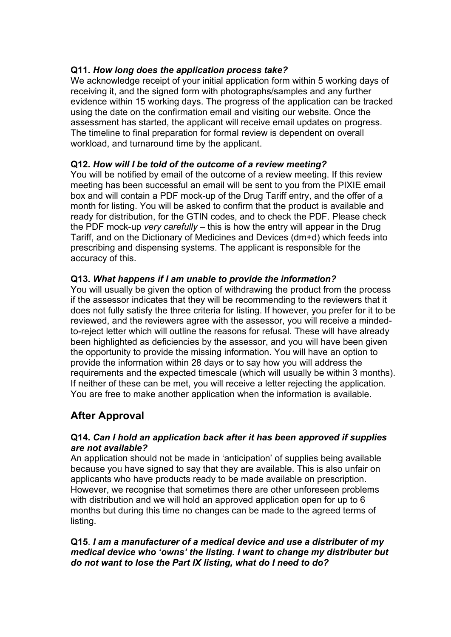#### **Q11.** *How long does the application process take?*

We acknowledge receipt of your initial application form within 5 working days of receiving it, and the signed form with photographs/samples and any further evidence within 15 working days. The progress of the application can be tracked using the date on the confirmation email and visiting our website. Once the assessment has started, the applicant will receive email updates on progress. The timeline to final preparation for formal review is dependent on overall workload, and turnaround time by the applicant.

#### **Q12.** *How will I be told of the outcome of a review meeting?*

You will be notified by email of the outcome of a review meeting. If this review meeting has been successful an email will be sent to you from the PIXIE email box and will contain a PDF mock-up of the Drug Tariff entry, and the offer of a month for listing. You will be asked to confirm that the product is available and ready for distribution, for the GTIN codes, and to check the PDF. Please check the PDF mock-up *very carefully* – this is how the entry will appear in the Drug Tariff, and on the Dictionary of Medicines and Devices (dm+d) which feeds into prescribing and dispensing systems. The applicant is responsible for the accuracy of this.

#### **Q13.** *What happens if I am unable to provide the information?*

You will usually be given the option of withdrawing the product from the process if the assessor indicates that they will be recommending to the reviewers that it does not fully satisfy the three criteria for listing. If however, you prefer for it to be reviewed, and the reviewers agree with the assessor, you will receive a mindedto-reject letter which will outline the reasons for refusal. These will have already been highlighted as deficiencies by the assessor, and you will have been given the opportunity to provide the missing information. You will have an option to provide the information within 28 days or to say how you will address the requirements and the expected timescale (which will usually be within 3 months). If neither of these can be met, you will receive a letter rejecting the application. You are free to make another application when the information is available.

## **After Approval**

#### **Q14.** *Can I hold an application back after it has been approved if supplies are not available?*

An application should not be made in 'anticipation' of supplies being available because you have signed to say that they are available. This is also unfair on applicants who have products ready to be made available on prescription. However, we recognise that sometimes there are other unforeseen problems with distribution and we will hold an approved application open for up to 6 months but during this time no changes can be made to the agreed terms of listing.

#### **Q15**. *I am a manufacturer of a medical device and use a distributer of my medical device who 'owns' the listing. I want to change my distributer but do not want to lose the Part IX listing, what do I need to do?*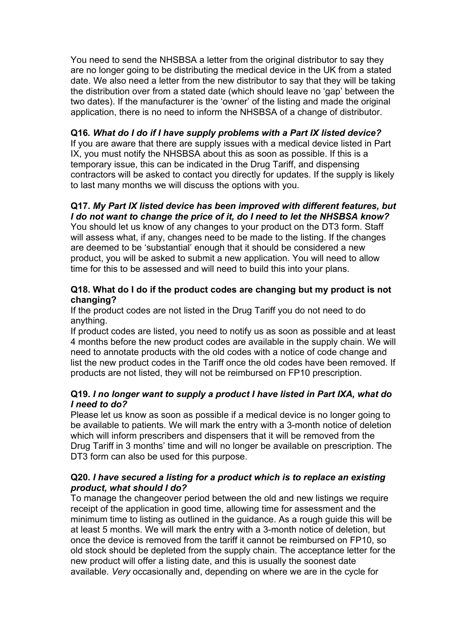You need to send the NHSBSA a letter from the original distributor to say they are no longer going to be distributing the medical device in the UK from a stated date. We also need a letter from the new distributor to say that they will be taking the distribution over from a stated date (which should leave no 'gap' between the two dates). If the manufacturer is the 'owner' of the listing and made the original application, there is no need to inform the NHSBSA of a change of distributor.

#### **Q16***. What do I do if I have supply problems with a Part IX listed device?*

If you are aware that there are supply issues with a medical device listed in Part IX, you must notify the NHSBSA about this as soon as possible. If this is a temporary issue, this can be indicated in the Drug Tariff, and dispensing contractors will be asked to contact you directly for updates. If the supply is likely to last many months we will discuss the options with you.

#### **Q17.** *My Part IX listed device has been improved with different features, but I do not want to change the price of it, do I need to let the NHSBSA know?*

You should let us know of any changes to your product on the DT3 form. Staff will assess what, if any, changes need to be made to the listing. If the changes are deemed to be 'substantial' enough that it should be considered a new product, you will be asked to submit a new application. You will need to allow time for this to be assessed and will need to build this into your plans.

#### **Q18. What do I do if the product codes are changing but my product is not changing?**

If the product codes are not listed in the Drug Tariff you do not need to do anything.

If product codes are listed, you need to notify us as soon as possible and at least 4 months before the new product codes are available in the supply chain. We will need to annotate products with the old codes with a notice of code change and list the new product codes in the Tariff once the old codes have been removed. If products are not listed, they will not be reimbursed on FP10 prescription.

#### **Q19.** *I no longer want to supply a product I have listed in Part IXA, what do I need to do?*

Please let us know as soon as possible if a medical device is no longer going to be available to patients. We will mark the entry with a 3-month notice of deletion which will inform prescribers and dispensers that it will be removed from the Drug Tariff in 3 months' time and will no longer be available on prescription. The DT3 form can also be used for this purpose.

#### **Q20.** *I have secured a listing for a product which is to replace an existing product, what should I do?*

To manage the changeover period between the old and new listings we require receipt of the application in good time, allowing time for assessment and the minimum time to listing as outlined in the guidance. As a rough guide this will be at least 5 months. We will mark the entry with a 3-month notice of deletion, but once the device is removed from the tariff it cannot be reimbursed on FP10, so old stock should be depleted from the supply chain. The acceptance letter for the new product will offer a listing date, and this is usually the soonest date available. *Very* occasionally and, depending on where we are in the cycle for